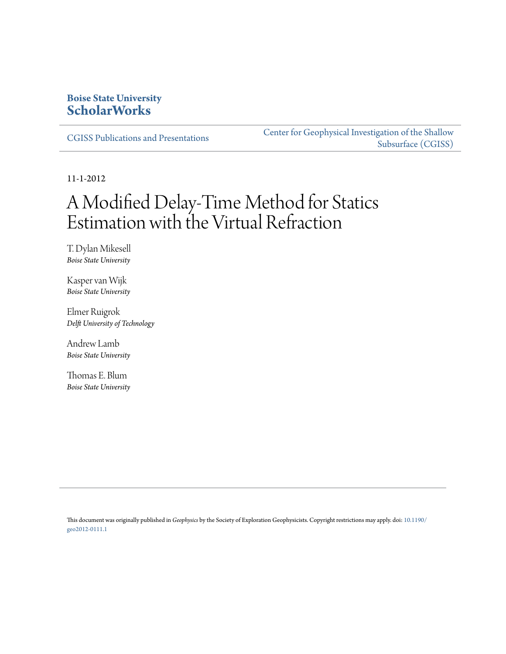# **Boise State University [ScholarWorks](https://scholarworks.boisestate.edu)**

[CGISS Publications and Presentations](https://scholarworks.boisestate.edu/cgiss_facpubs)

[Center for Geophysical Investigation of the Shallow](https://scholarworks.boisestate.edu/cgiss) [Subsurface \(CGISS\)](https://scholarworks.boisestate.edu/cgiss)

11-1-2012

# A Modified Delay-Time Method for Statics Estimation with the Virtual Refraction

T. Dylan Mikesell *Boise State University*

Kasper van Wijk *Boise State University*

Elmer Ruigrok *Delft University of Technology*

Andrew Lamb *Boise State University*

Thomas E. Blum *Boise State University*

This document was originally published in *Geophysics* by the Society of Exploration Geophysicists. Copyright restrictions may apply. doi: [10.1190/](http://dx.doi.org/10.1190/geo2012-0111.1) [geo2012-0111.1](http://dx.doi.org/10.1190/geo2012-0111.1)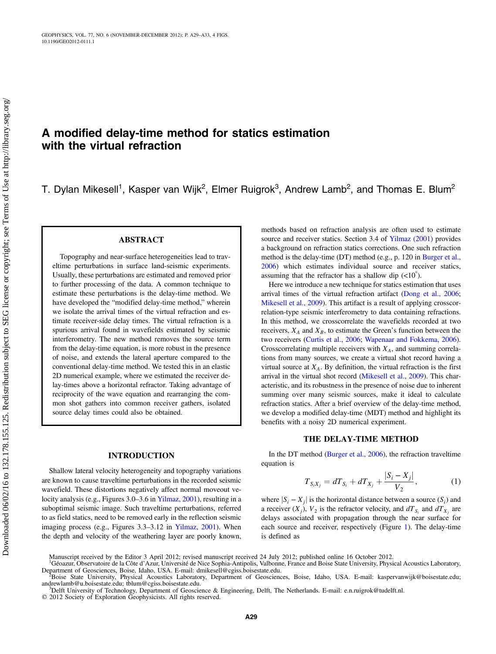# A modified delay-time method for statics estimation with the virtual refraction

T. Dylan Mikesell<sup>1</sup>, Kasper van Wijk<sup>2</sup>, Elmer Ruigrok<sup>3</sup>, Andrew Lamb<sup>2</sup>, and Thomas E. Blum<sup>2</sup>

#### ABSTRACT

Topography and near-surface heterogeneities lead to traveltime perturbations in surface land-seismic experiments. Usually, these perturbations are estimated and removed prior to further processing of the data. A common technique to estimate these perturbations is the delay-time method. We have developed the "modified delay-time method," wherein we isolate the arrival times of the virtual refraction and estimate receiver-side delay times. The virtual refraction is a spurious arrival found in wavefields estimated by seismic interferometry. The new method removes the source term from the delay-time equation, is more robust in the presence of noise, and extends the lateral aperture compared to the conventional delay-time method. We tested this in an elastic 2D numerical example, where we estimated the receiver delay-times above a horizontal refractor. Taking advantage of reciprocity of the wave equation and rearranging the common shot gathers into common receiver gathers, isolated source delay times could also be obtained.

#### INTRODUCTION

Shallow lateral velocity heterogeneity and topography variations are known to cause traveltime perturbations in the recorded seismic wavefield. These distortions negatively affect normal moveout velocity analysis (e.g., Figures 3.0–3.6 in [Yilmaz, 2001](#page-5-0)), resulting in a suboptimal seismic image. Such traveltime perturbations, referred to as field statics, need to be removed early in the reflection seismic imaging process (e.g., Figures 3.3–3.12 in [Yilmaz, 2001](#page-5-0)). When the depth and velocity of the weathering layer are poorly known,

methods based on refraction analysis are often used to estimate source and receiver statics. Section 3.4 of [Yilmaz \(2001\)](#page-5-0) provides a background on refraction statics corrections. One such refraction method is the delay-time (DT) method (e.g., p. 120 in [Burger et al.,](#page-5-1) [2006\)](#page-5-1) which estimates individual source and receiver statics, assuming that the refractor has a shallow dip  $\left($ <10 $^{\circ}$ ).

Here we introduce a new technique for statics estimation that uses arrival times of the virtual refraction artifact [\(Dong et al., 2006;](#page-5-2) [Mikesell et al., 2009](#page-5-3)). This artifact is a result of applying crosscorrelation-type seismic interferometry to data containing refractions. In this method, we crosscorrelate the wavefields recorded at two receivers,  $X_A$  and  $X_B$ , to estimate the Green's function between the two receivers [\(Curtis et al., 2006;](#page-5-4) [Wapenaar and Fokkema, 2006\)](#page-5-5). Crosscorrelating multiple receivers with  $X_A$ , and summing correlations from many sources, we create a virtual shot record having a virtual source at  $X_A$ . By definition, the virtual refraction is the first arrival in the virtual shot record [\(Mikesell et al., 2009](#page-5-3)). This characteristic, and its robustness in the presence of noise due to inherent summing over many seismic sources, make it ideal to calculate refraction statics. After a brief overview of the delay-time method, we develop a modified delay-time (MDT) method and highlight its benefits with a noisy 2D numerical experiment.

#### THE DELAY-TIME METHOD

<span id="page-1-0"></span>In the DT method ([Burger et al., 2006\)](#page-5-1), the refraction traveltime equation is

$$
T_{S_i X_j} = dT_{S_i} + dT_{X_j} + \frac{|S_i - X_j|}{V_2}, \qquad (1)
$$

where  $|S_i - X_j|$  is the horizontal distance between a source  $(S_i)$  and a receiver  $(X_i)$ ,  $V_2$  is the refractor velocity, and  $dT_{S_i}$  and  $dT_{X_i}$  are delays associated with propagation through the near surface for each source and receiver, respectively (Figure [1](#page-2-0)). The delay-time is defined as

Manuscript received by the Editor 3 April 2012; revised manuscript received 24 July 2012; published online 16 October 2012.

<sup>1</sup> Géoazur, Observatoire de la Côte d'Azur, Université de Nice Sophia-Antipolis, Valbonne, France and Boise State University, Physical Acoustics Laboratory, Department of Geosciences, Boise, Idaho, USA. E-mail: dmikesell@cgiss.boisestate.edu. <sup>2</sup>

Boise State University, Physical Acoustics Laboratory, Department of Geosciences, Boise, Idaho, USA. E-mail: kaspervanwijk@boisestate.edu; andrewlamb@u.boisestate.edu; tblum@cgiss.boisestate.edu. <sup>3</sup>

<sup>&</sup>lt;sup>3</sup>Delft University of Technology, Department of Geoscience & Engineering, Delft, The Netherlands. E-mail: e.n.ruigrok@tudelft.nl. © 2012 Society of Exploration Geophysicists. All rights reserved.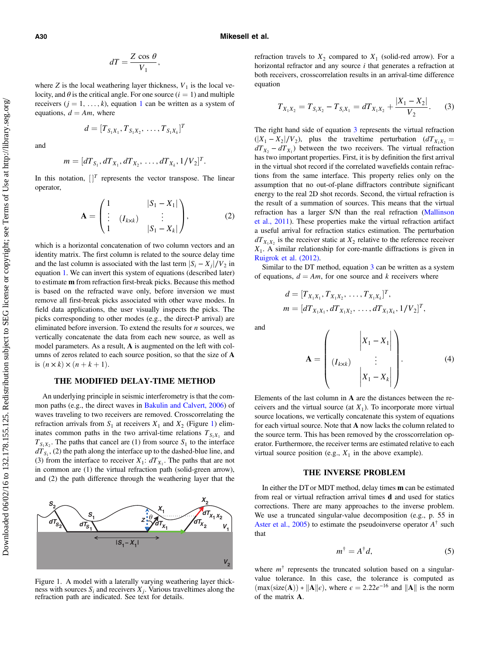#### A30 Mikesell et al.

$$
dT = \frac{Z \cos \theta}{V_1},
$$

where Z is the local weathering layer thickness,  $V_1$  is the local velocity, and  $\theta$  is the critical angle. For one source  $(i = 1)$  and multiple receivers  $(j = 1, ..., k)$  $(j = 1, ..., k)$  $(j = 1, ..., k)$ , equation 1 can be written as a system of equations,  $d = Am$ , where

$$
d=[T_{S_1X_1},T_{S_1X_2},\ldots,T_{S_1X_k}]^T
$$

and

$$
m = [dT_{S_1}, dT_{X_1}, dT_{X_2}, \ldots, dT_{X_k}, 1/V_2]^T.
$$

<span id="page-2-2"></span>In this notation,  $[$ <sup>T</sup> represents the vector transpose. The linear operator,

$$
\mathbf{A} = \begin{pmatrix} 1 & |S_1 - X_1| \\ \vdots & (I_{k \times k}) & \vdots \\ 1 & |S_1 - X_k| \end{pmatrix}, \tag{2}
$$

which is a horizontal concatenation of two column vectors and an identity matrix. The first column is related to the source delay time and the last column is associated with the last term  $|S_i - X_i|/V_2$  in equation [1](#page-1-0). We can invert this system of equations (described later) to estimate m from refraction first-break picks. Because this method is based on the refracted wave only, before inversion we must remove all first-break picks associated with other wave modes. In field data applications, the user visually inspects the picks. The picks corresponding to other modes (e.g., the direct-P arrival) are eliminated before inversion. To extend the results for  $n$  sources, we vertically concatenate the data from each new source, as well as model parameters. As a result, A is augmented on the left with columns of zeros related to each source position, so that the size of A is  $(n \times k) \times (n + k + 1)$ .

## THE MODIFIED DELAY-TIME METHOD

An underlying principle in seismic interferometry is that the common paths (e.g., the direct waves in [Bakulin and Calvert, 2006](#page-5-6)) of waves traveling to two receivers are removed. Crosscorrelating the refraction arrivals from  $S_1$  at receivers  $X_1$  and  $X_2$  (Figure [1\)](#page-2-0) eliminates common paths in the two arrival-time relations  $T_{S_1X_1}$  and  $T_{S_1X_2}$ . The paths that cancel are (1) from source  $S_1$  to the interface  $dT_{S_1}$ , (2) the path along the interface up to the dashed-blue line, and (3) from the interface to receiver  $X_1: dT_{X_1}$ . The paths that are not in common are (1) the virtual refraction path (solid-green arrow), and (2) the path difference through the weathering layer that the

<span id="page-2-0"></span>

Figure 1. A model with a laterally varying weathering layer thick-<br>ness with sources  $S_i$  and receivers  $X_i$ . Various traveltimes along the refraction path are indicated. See text for details.

<span id="page-2-1"></span>refraction travels to  $X_2$  compared to  $X_1$  (solid-red arrow). For a horizontal refractor and any source  $i$  that generates a refraction at both receivers, crosscorrelation results in an arrival-time difference equation

$$
T_{X_1X_2} = T_{S_1X_2} - T_{S_1X_1} = dT_{X_1X_2} + \frac{|X_1 - X_2|}{V_2}.
$$
 (3)

The right hand side of equation [3](#page-2-1) represents the virtual refraction  $(|X_1 - X_2|/V_2)$ , plus the traveltime perturbation  $(dT_{X_1X_2} =$  $dT_{X_2} - dT_{X_1}$ ) between the two receivers. The virtual refraction has two important properties. First, it is by definition the first arrival in the virtual shot record if the correlated wavefields contain refractions from the same interface. This property relies only on the assumption that no out-of-plane diffractors contribute significant energy to the real 2D shot records. Second, the virtual refraction is the result of a summation of sources. This means that the virtual refraction has a larger S/N than the real refraction ([Mallinson](#page-5-7) [et al., 2011\)](#page-5-7). These properties make the virtual refraction artifact a useful arrival for refraction statics estimation. The perturbation  $dT_{X_1X_2}$  is the receiver static at  $X_2$  relative to the reference receiver  $X_1$ . A similar relationship for core-mantle diffractions is given in [Ruigrok et al. \(2012\)](#page-5-8).

Similar to the DT method, equation [3](#page-2-1) can be written as a system of equations,  $d = Am$ , for one source and k receivers where

$$
d = [T_{X_1X_1}, T_{X_1X_2}, \dots, T_{X_1X_k}]^T,
$$
  
\n
$$
m = [dT_{X_1X_1}, dT_{X_1X_2}, \dots, dT_{X_1X_k}, 1/V_2]^T,
$$

<span id="page-2-3"></span>and

$$
\mathbf{A} = \begin{pmatrix} |X_1 - X_1| \\ \vdots \\ |X_k - X_k| \end{pmatrix} . \tag{4}
$$

Elements of the last column in A are the distances between the receivers and the virtual source (at  $X_1$ ). To incorporate more virtual source locations, we vertically concatenate this system of equations for each virtual source. Note that A now lacks the column related to the source term. This has been removed by the crosscorrelation operator. Furthermore, the receiver terms are estimated relative to each virtual source position (e.g.,  $X_1$  in the above example).

#### THE INVERSE PROBLEM

In either the DT or MDT method, delay times m can be estimated from real or virtual refraction arrival times d and used for statics corrections. There are many approaches to the inverse problem. We use a truncated singular-value decomposition (e.g., p. 55 in [Aster et al., 2005\)](#page-5-9) to estimate the pseudoinverse operator  $A^{\dagger}$  such that

$$
m^{\dagger} = A^{\dagger} d,\tag{5}
$$

where  $m^{\dagger}$  represents the truncated solution based on a singularvalue tolerance. In this case, the tolerance is computed as  $\left(\max(\text{size}(A)) * ||A|| \epsilon\right)$ , where  $\epsilon = 2.22e^{-16}$  and  $||A||$  is the norm of the matrix A.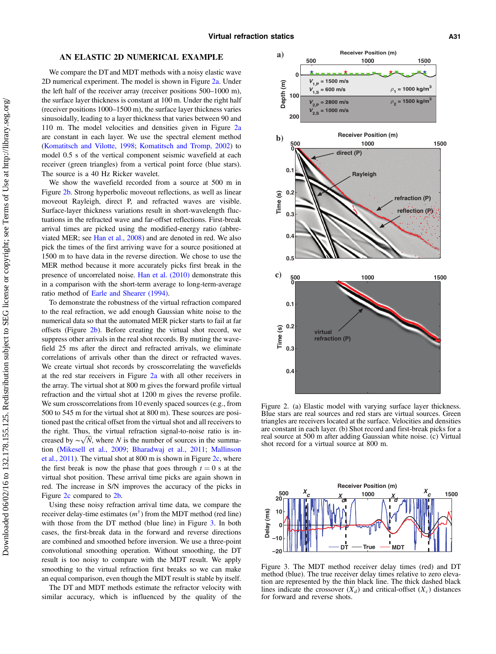#### AN ELASTIC 2D NUMERICAL EXAMPLE

We compare the DT and MDT methods with a noisy elastic wave 2D numerical experiment. The model is shown in Figure [2a](#page-3-0). Under the left half of the receiver array (receiver positions 500–1000 m), the surface layer thickness is constant at 100 m. Under the right half (receiver positions 1000–1500 m), the surface layer thickness varies sinusoidally, leading to a layer thickness that varies between 90 and 110 m. The model velocities and densities given in Figure [2a](#page-3-0) are constant in each layer. We use the spectral element method ([Komatitsch and Vilotte, 1998](#page-5-10); [Komatitsch and Tromp, 2002\)](#page-5-11) to model 0.5 s of the vertical component seismic wavefield at each receiver (green triangles) from a vertical point force (blue stars). The source is a 40 Hz Ricker wavelet.

We show the wavefield recorded from a source at 500 m in Figure [2b.](#page-3-0) Strong hyperbolic moveout reflections, as well as linear moveout Rayleigh, direct P, and refracted waves are visible. Surface-layer thickness variations result in short-wavelength fluctuations in the refracted wave and far-offset reflections. First-break arrival times are picked using the modified-energy ratio (abbreviated MER; see [Han et al., 2008\)](#page-5-12) and are denoted in red. We also pick the times of the first arriving wave for a source positioned at 1500 m to have data in the reverse direction. We chose to use the MER method because it more accurately picks first break in the presence of uncorrelated noise. [Han et al. \(2010\)](#page-5-13) demonstrate this in a comparison with the short-term average to long-term-average ratio method of [Earle and Shearer \(1994\)](#page-5-14).

To demonstrate the robustness of the virtual refraction compared to the real refraction, we add enough Gaussian white noise to the numerical data so that the automated MER picker starts to fail at far offsets (Figure [2b\)](#page-3-0). Before creating the virtual shot record, we suppress other arrivals in the real shot records. By muting the wavefield 25 ms after the direct and refracted arrivals, we eliminate correlations of arrivals other than the direct or refracted waves. We create virtual shot records by crosscorrelating the wavefields at the red star receivers in Figure [2a](#page-3-0) with all other receivers in the array. The virtual shot at 800 m gives the forward profile virtual refraction and the virtual shot at 1200 m gives the reverse profile. We sum crosscorrelations from 10 evenly spaced sources (e.g., from 500 to 545 m for the virtual shot at 800 m). These sources are positioned past the critical offset from the virtual shot and all receivers to the right. Thus, the virtual refraction signal-to-noise ratio is increased by  $\sim \sqrt{N}$ , where N is the number of sources in the summation [\(Mikesell et al., 2009](#page-5-3); [Bharadwaj et al., 2011;](#page-5-15) [Mallinson](#page-5-7) [et al., 2011](#page-5-7)). The virtual shot at 800 m is shown in Figure [2c](#page-3-0), where the first break is now the phase that goes through  $t = 0$  s at the virtual shot position. These arrival time picks are again shown in red. The increase in S/N improves the accuracy of the picks in Figure [2c](#page-3-0) compared to [2b.](#page-3-0)

Using these noisy refraction arrival time data, we compare the receiver delay-time estimates  $(m^{\dagger})$  from the MDT method (red line) with those from the DT method (blue line) in Figure [3](#page-3-1). In both cases, the first-break data in the forward and reverse directions are combined and smoothed before inversion. We use a three-point convolutional smoothing operation. Without smoothing, the DT result is too noisy to compare with the MDT result. We apply smoothing to the virtual refraction first breaks so we can make an equal comparison, even though the MDT result is stable by itself.

The DT and MDT methods estimate the refractor velocity with similar accuracy, which is influenced by the quality of the

<span id="page-3-0"></span>

Figure 2. (a) Elastic model with varying surface layer thickness. Blue stars are real sources and red stars are virtual sources. Green triangles are receivers located at the surface. Velocities and densities are constant in each layer. (b) Shot record and first-break picks for a real source at 500 m after adding Gaussian white noise. (c) Virtual shot record for a virtual source at 800 m.

<span id="page-3-1"></span>

Figure 3. The MDT method receiver delay times (red) and DT method (blue). The true receiver delay times relative to zero elevation are represented by the thin black line. The thick dashed black lines indicate the crossover  $(X_d)$  and critical-offset  $(X_c)$  distances for forward and reverse shots.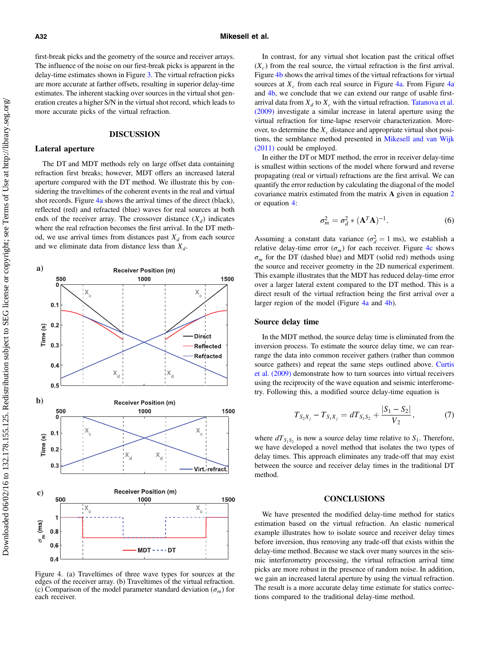first-break picks and the geometry of the source and receiver arrays. The influence of the noise on our first-break picks is apparent in the delay-time estimates shown in Figure [3.](#page-3-1) The virtual refraction picks are more accurate at farther offsets, resulting in superior delay-time estimates. The inherent stacking over sources in the virtual shot generation creates a higher S/N in the virtual shot record, which leads to more accurate picks of the virtual refraction.

## DISCUSSION

## Lateral aperture

The DT and MDT methods rely on large offset data containing refraction first breaks; however, MDT offers an increased lateral aperture compared with the DT method. We illustrate this by considering the traveltimes of the coherent events in the real and virtual shot records. Figure [4a](#page-4-0) shows the arrival times of the direct (black), reflected (red) and refracted (blue) waves for real sources at both ends of the receiver array. The crossover distance  $(X_d)$  indicates where the real refraction becomes the first arrival. In the DT method, we use arrival times from distances past  $X_d$  from each source and we eliminate data from distance less than  $X_d$ .

<span id="page-4-0"></span>

Figure 4. (a) Traveltimes of three wave types for sources at the edges of the receiver array. (b) Traveltimes of the virtual refraction. (c) Comparison of the model parameter standard deviation ( $\sigma_m$ ) for each receiver.

In contrast, for any virtual shot location past the critical offset  $(X_c)$  from the real source, the virtual refraction is the first arrival. Figure [4b](#page-4-0) shows the arrival times of the virtual refractions for virtual sources at  $X_c$  from each real source in Figure [4a](#page-4-0). From Figure 4a and [4b,](#page-4-0) we conclude that we can extend our range of usable firstarrival data from  $X_d$  to  $X_c$  with the virtual refraction. [Tatanova et al.](#page-5-16) [\(2009\)](#page-5-16) investigate a similar increase in lateral aperture using the virtual refraction for time-lapse reservoir characterization. Moreover, to determine the  $X_c$  distance and appropriate virtual shot positions, the semblance method presented in [Mikesell and van Wijk](#page-5-17) [\(2011\)](#page-5-17) could be employed.

In either the DT or MDT method, the error in receiver delay-time is smallest within sections of the model where forward and reverse propagating (real or virtual) refractions are the first arrival. We can quantify the error reduction by calculating the diagonal of the model covariance matrix estimated from the matrix A given in equation [2](#page-2-2) or equation [4:](#page-2-3)

$$
\sigma_m^2 = \sigma_d^2 * (\mathbf{A}^T \mathbf{A})^{-1}.
$$
 (6)

Assuming a constant data variance  $(\sigma_d^2 = 1 \text{ ms})$ , we establish a relative delay-time error  $(\sigma_m)$  for each receiver. Figure [4c](#page-4-0) shows  $\sigma_m$  for the DT (dashed blue) and MDT (solid red) methods using the source and receiver geometry in the 2D numerical experiment. This example illustrates that the MDT has reduced delay-time error over a larger lateral extent compared to the DT method. This is a direct result of the virtual refraction being the first arrival over a larger region of the model (Figure [4a](#page-4-0) and [4b\)](#page-4-0).

#### Source delay time

In the MDT method, the source delay time is eliminated from the inversion process. To estimate the source delay time, we can rearrange the data into common receiver gathers (rather than common source gathers) and repeat the same steps outlined above. [Curtis](#page-5-18) [et al. \(2009\)](#page-5-18) demonstrate how to turn sources into virtual receivers using the reciprocity of the wave equation and seismic interferometry. Following this, a modified source delay-time equation is

$$
T_{S_2X_j} - T_{S_1X_j} = dT_{S_1S_2} + \frac{|S_1 - S_2|}{V_2},\tag{7}
$$

where  $dT_{S_1S_2}$  is now a source delay time relative to  $S_1$ . Therefore, we have developed a novel method that isolates the two types of delay times. This approach eliminates any trade-off that may exist between the source and receiver delay times in the traditional DT method.

#### **CONCLUSIONS**

We have presented the modified delay-time method for statics estimation based on the virtual refraction. An elastic numerical example illustrates how to isolate source and receiver delay times before inversion, thus removing any trade-off that exists within the delay-time method. Because we stack over many sources in the seismic interferometry processing, the virtual refraction arrival time picks are more robust in the presence of random noise. In addition, we gain an increased lateral aperture by using the virtual refraction. The result is a more accurate delay time estimate for statics corrections compared to the traditional delay-time method.